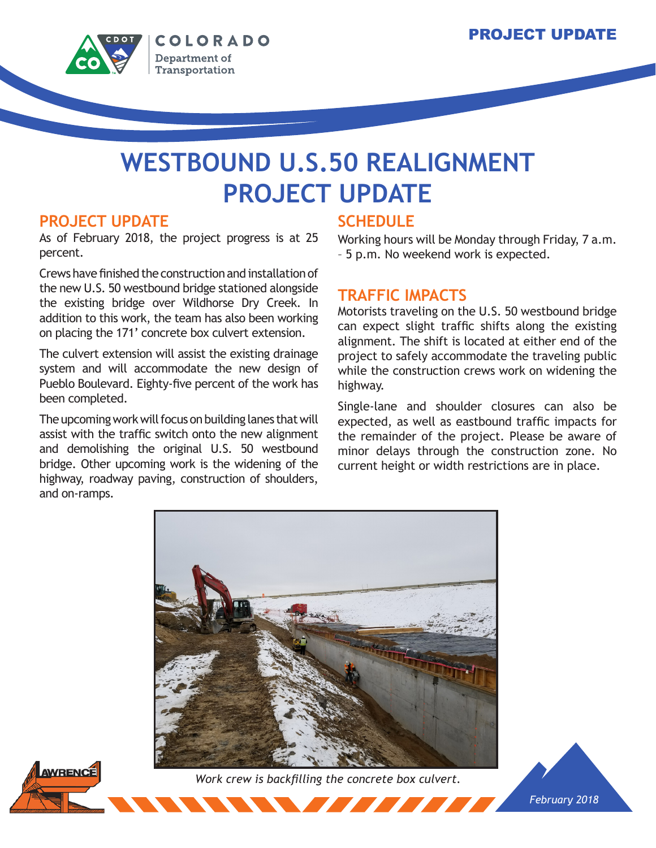

# **WESTBOUND U.S.50 REALIGNMENT PROJECT UPDATE**

### **PROJECT UPDATE**

As of February 2018, the project progress is at 25 percent.

Crews have finished the construction and installation of the new U.S. 50 westbound bridge stationed alongside the existing bridge over Wildhorse Dry Creek. In addition to this work, the team has also been working on placing the 171' concrete box culvert extension.

The culvert extension will assist the existing drainage system and will accommodate the new design of Pueblo Boulevard. Eighty-five percent of the work has been completed.

The upcoming work will focus on building lanes that will assist with the traffic switch onto the new alignment and demolishing the original U.S. 50 westbound bridge. Other upcoming work is the widening of the highway, roadway paving, construction of shoulders, and on-ramps.

## **SCHEDULE**

Working hours will be Monday through Friday, 7 a.m. – 5 p.m. No weekend work is expected.

### **TRAFFIC IMPACTS**

Motorists traveling on the U.S. 50 westbound bridge can expect slight traffic shifts along the existing alignment. The shift is located at either end of the project to safely accommodate the traveling public while the construction crews work on widening the highway.

Single-lane and shoulder closures can also be expected, as well as eastbound traffic impacts for the remainder of the project. Please be aware of minor delays through the construction zone. No current height or width restrictions are in place.

*February 2018*



*Work crew is backfilling the concrete box culvert.*

<u> The Book of the Book of the Book of the Book of the Book of the Book of the Book of the Book of the Book of the Book of the Book of the Book of the Book of the Book of the Book of the Book of the Book of the Book of the </u>